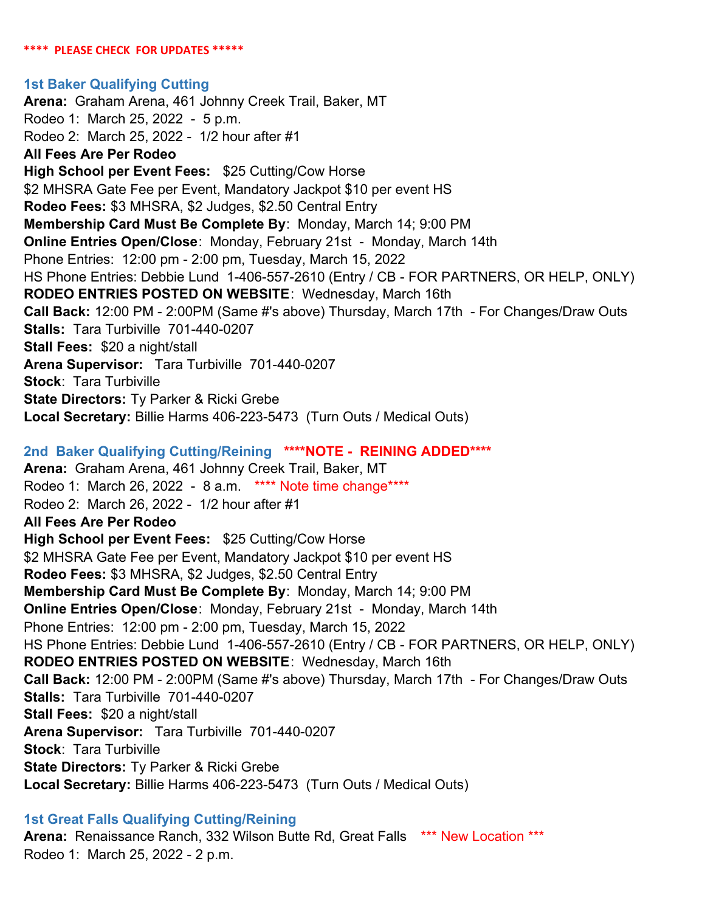#### **\*\*\*\* PLEASE CHECK FOR UPDATES \*\*\*\*\***

#### **1st Baker Qualifying Cutting**

**Arena:** Graham Arena, 461 Johnny Creek Trail, Baker, MT Rodeo 1: March 25, 2022 - 5 p.m. Rodeo 2: March 25, 2022 - 1/2 hour after #1 **All Fees Are Per Rodeo High School per Event Fees:** \$25 Cutting/Cow Horse \$2 MHSRA Gate Fee per Event, Mandatory Jackpot \$10 per event HS **Rodeo Fees:** \$3 MHSRA, \$2 Judges, \$2.50 Central Entry **Membership Card Must Be Complete By**: Monday, March 14; 9:00 PM **Online Entries Open/Close**: Monday, February 21st - Monday, March 14th Phone Entries: 12:00 pm - 2:00 pm, Tuesday, March 15, 2022 HS Phone Entries: Debbie Lund 1-406-557-2610 (Entry / CB - FOR PARTNERS, OR HELP, ONLY) **RODEO ENTRIES POSTED ON WEBSITE**: Wednesday, March 16th **Call Back:** 12:00 PM - 2:00PM (Same #'s above) Thursday, March 17th - For Changes/Draw Outs **Stalls:**  Tara Turbiville 701-440-0207 **Stall Fees:** \$20 a night/stall **Arena Supervisor:** Tara Turbiville 701-440-0207 **Stock**: Tara Turbiville **State Directors:** Ty Parker & Ricki Grebe **Local Secretary:** Billie Harms 406-223-5473 (Turn Outs / Medical Outs)

### **2nd Baker Qualifying Cutting/Reining \*\*\*\*NOTE - REINING ADDED\*\*\*\***

**Arena:** Graham Arena, 461 Johnny Creek Trail, Baker, MT Rodeo 1: March 26, 2022 - 8 a.m. \*\*\*\* Note time change\*\*\*\* Rodeo 2: March 26, 2022 - 1/2 hour after #1 **All Fees Are Per Rodeo High School per Event Fees:** \$25 Cutting/Cow Horse \$2 MHSRA Gate Fee per Event, Mandatory Jackpot \$10 per event HS **Rodeo Fees:** \$3 MHSRA, \$2 Judges, \$2.50 Central Entry **Membership Card Must Be Complete By**: Monday, March 14; 9:00 PM **Online Entries Open/Close**: Monday, February 21st - Monday, March 14th Phone Entries: 12:00 pm - 2:00 pm, Tuesday, March 15, 2022 HS Phone Entries: Debbie Lund 1-406-557-2610 (Entry / CB - FOR PARTNERS, OR HELP, ONLY) **RODEO ENTRIES POSTED ON WEBSITE**: Wednesday, March 16th **Call Back:** 12:00 PM - 2:00PM (Same #'s above) Thursday, March 17th - For Changes/Draw Outs **Stalls:**  Tara Turbiville 701-440-0207 **Stall Fees:** \$20 a night/stall **Arena Supervisor:** Tara Turbiville 701-440-0207 **Stock**: Tara Turbiville **State Directors:** Ty Parker & Ricki Grebe **Local Secretary:** Billie Harms 406-223-5473 (Turn Outs / Medical Outs)

#### **1st Great Falls Qualifying Cutting/Reining**

**Arena:** Renaissance Ranch, 332 Wilson Butte Rd, Great Falls \*\*\* New Location \*\*\* Rodeo 1: March 25, 2022 - 2 p.m.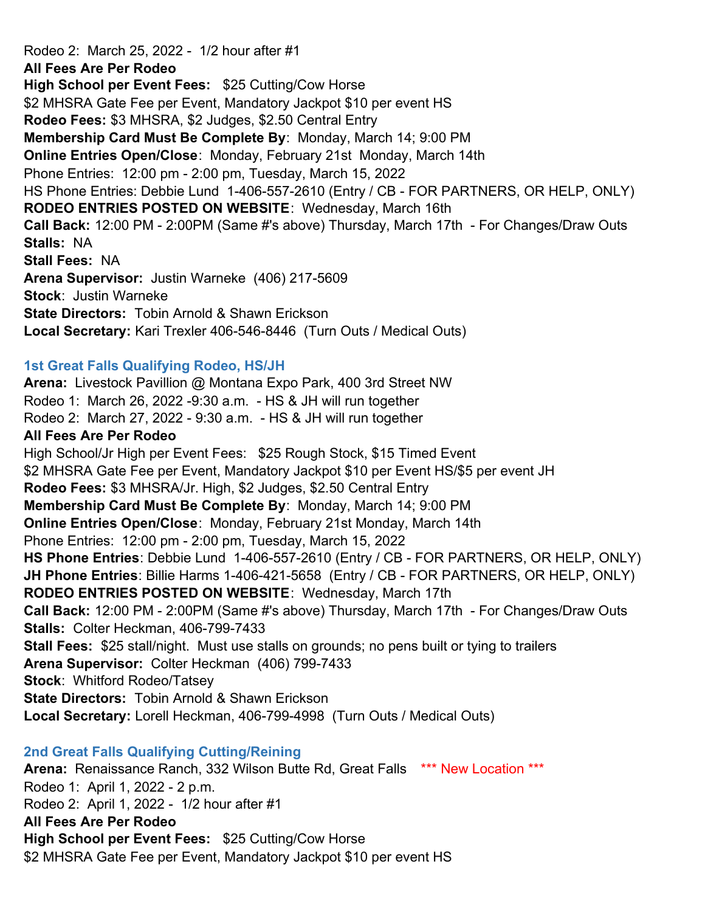Rodeo 2: March 25, 2022 - 1/2 hour after #1 **All Fees Are Per Rodeo High School per Event Fees:** \$25 Cutting/Cow Horse \$2 MHSRA Gate Fee per Event, Mandatory Jackpot \$10 per event HS **Rodeo Fees:** \$3 MHSRA, \$2 Judges, \$2.50 Central Entry **Membership Card Must Be Complete By**: Monday, March 14; 9:00 PM **Online Entries Open/Close**: Monday, February 21st Monday, March 14th Phone Entries: 12:00 pm - 2:00 pm, Tuesday, March 15, 2022 HS Phone Entries: Debbie Lund 1-406-557-2610 (Entry / CB - FOR PARTNERS, OR HELP, ONLY) **RODEO ENTRIES POSTED ON WEBSITE**: Wednesday, March 16th **Call Back:** 12:00 PM - 2:00PM (Same #'s above) Thursday, March 17th - For Changes/Draw Outs **Stalls:**  NA **Stall Fees:** NA **Arena Supervisor:** Justin Warneke (406) 217-5609 **Stock**: Justin Warneke **State Directors:** Tobin Arnold & Shawn Erickson **Local Secretary:** Kari Trexler 406-546-8446 (Turn Outs / Medical Outs)

#### **1st Great Falls Qualifying Rodeo, HS/JH**

**Arena:** Livestock Pavillion @ Montana Expo Park, 400 3rd Street NW Rodeo 1: March 26, 2022 -9:30 a.m. - HS & JH will run together Rodeo 2: March 27, 2022 - 9:30 a.m. - HS & JH will run together **All Fees Are Per Rodeo** High School/Jr High per Event Fees: \$25 Rough Stock, \$15 Timed Event \$2 MHSRA Gate Fee per Event, Mandatory Jackpot \$10 per Event HS/\$5 per event JH **Rodeo Fees:** \$3 MHSRA/Jr. High, \$2 Judges, \$2.50 Central Entry **Membership Card Must Be Complete By**: Monday, March 14; 9:00 PM **Online Entries Open/Close**: Monday, February 21st Monday, March 14th Phone Entries: 12:00 pm - 2:00 pm, Tuesday, March 15, 2022 **HS Phone Entries**: Debbie Lund 1-406-557-2610 (Entry / CB - FOR PARTNERS, OR HELP, ONLY) **JH Phone Entries**: Billie Harms 1-406-421-5658 (Entry / CB - FOR PARTNERS, OR HELP, ONLY) **RODEO ENTRIES POSTED ON WEBSITE**: Wednesday, March 17th **Call Back:** 12:00 PM - 2:00PM (Same #'s above) Thursday, March 17th - For Changes/Draw Outs **Stalls:**  Colter Heckman, 406-799-7433 **Stall Fees:** \$25 stall/night. Must use stalls on grounds; no pens built or tying to trailers **Arena Supervisor:** Colter Heckman (406) 799-7433 **Stock**: Whitford Rodeo/Tatsey **State Directors:** Tobin Arnold & Shawn Erickson **Local Secretary:** Lorell Heckman, 406-799-4998 (Turn Outs / Medical Outs)

**2nd Great Falls Qualifying Cutting/Reining Arena:** Renaissance Ranch, 332 Wilson Butte Rd, Great Falls \*\*\* New Location \*\*\* Rodeo 1: April 1, 2022 - 2 p.m. Rodeo 2: April 1, 2022 - 1/2 hour after #1 **All Fees Are Per Rodeo High School per Event Fees:** \$25 Cutting/Cow Horse \$2 MHSRA Gate Fee per Event, Mandatory Jackpot \$10 per event HS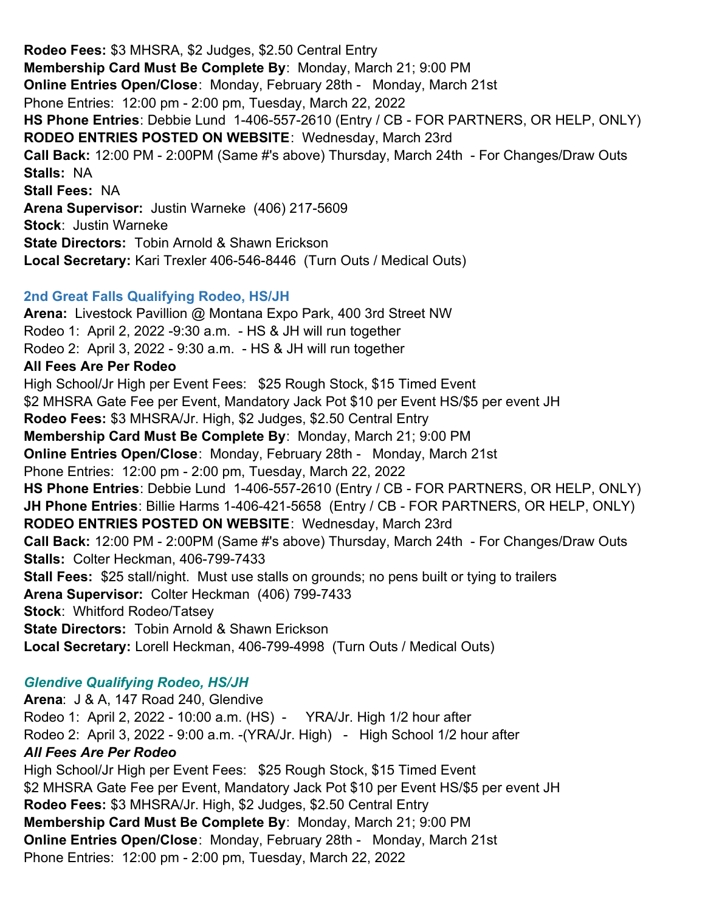**Rodeo Fees:** \$3 MHSRA, \$2 Judges, \$2.50 Central Entry **Membership Card Must Be Complete By**: Monday, March 21; 9:00 PM **Online Entries Open/Close**: Monday, February 28th - Monday, March 21st Phone Entries: 12:00 pm - 2:00 pm, Tuesday, March 22, 2022 **HS Phone Entries**: Debbie Lund 1-406-557-2610 (Entry / CB - FOR PARTNERS, OR HELP, ONLY) **RODEO ENTRIES POSTED ON WEBSITE**: Wednesday, March 23rd **Call Back:** 12:00 PM - 2:00PM (Same #'s above) Thursday, March 24th - For Changes/Draw Outs **Stalls:**  NA **Stall Fees:** NA **Arena Supervisor:** Justin Warneke (406) 217-5609 **Stock**: Justin Warneke **State Directors:** Tobin Arnold & Shawn Erickson **Local Secretary:** Kari Trexler 406-546-8446 (Turn Outs / Medical Outs)

# **2nd Great Falls Qualifying Rodeo, HS/JH**

**Arena:** Livestock Pavillion @ Montana Expo Park, 400 3rd Street NW Rodeo 1: April 2, 2022 -9:30 a.m. - HS & JH will run together Rodeo 2: April 3, 2022 - 9:30 a.m. - HS & JH will run together **All Fees Are Per Rodeo** High School/Jr High per Event Fees: \$25 Rough Stock, \$15 Timed Event \$2 MHSRA Gate Fee per Event, Mandatory Jack Pot \$10 per Event HS/\$5 per event JH **Rodeo Fees:** \$3 MHSRA/Jr. High, \$2 Judges, \$2.50 Central Entry **Membership Card Must Be Complete By**: Monday, March 21; 9:00 PM **Online Entries Open/Close**: Monday, February 28th - Monday, March 21st Phone Entries: 12:00 pm - 2:00 pm, Tuesday, March 22, 2022 **HS Phone Entries**: Debbie Lund 1-406-557-2610 (Entry / CB - FOR PARTNERS, OR HELP, ONLY) **JH Phone Entries**: Billie Harms 1-406-421-5658 (Entry / CB - FOR PARTNERS, OR HELP, ONLY) **RODEO ENTRIES POSTED ON WEBSITE**: Wednesday, March 23rd **Call Back:** 12:00 PM - 2:00PM (Same #'s above) Thursday, March 24th - For Changes/Draw Outs **Stalls:**  Colter Heckman, 406-799-7433 **Stall Fees:** \$25 stall/night. Must use stalls on grounds; no pens built or tying to trailers **Arena Supervisor:** Colter Heckman (406) 799-7433 **Stock**: Whitford Rodeo/Tatsey **State Directors:** Tobin Arnold & Shawn Erickson **Local Secretary:** Lorell Heckman, 406-799-4998 (Turn Outs / Medical Outs)

# *Glendive Qualifying Rodeo, HS/JH*

**Arena**: J & A, 147 Road 240, Glendive Rodeo 1: April 2, 2022 - 10:00 a.m. (HS) - YRA/Jr. High 1/2 hour after Rodeo 2: April 3, 2022 - 9:00 a.m. -(YRA/Jr. High) - High School 1/2 hour after *All Fees Are Per Rodeo* High School/Jr High per Event Fees: \$25 Rough Stock, \$15 Timed Event \$2 MHSRA Gate Fee per Event, Mandatory Jack Pot \$10 per Event HS/\$5 per event JH **Rodeo Fees:** \$3 MHSRA/Jr. High, \$2 Judges, \$2.50 Central Entry **Membership Card Must Be Complete By**: Monday, March 21; 9:00 PM **Online Entries Open/Close**: Monday, February 28th - Monday, March 21st Phone Entries: 12:00 pm - 2:00 pm, Tuesday, March 22, 2022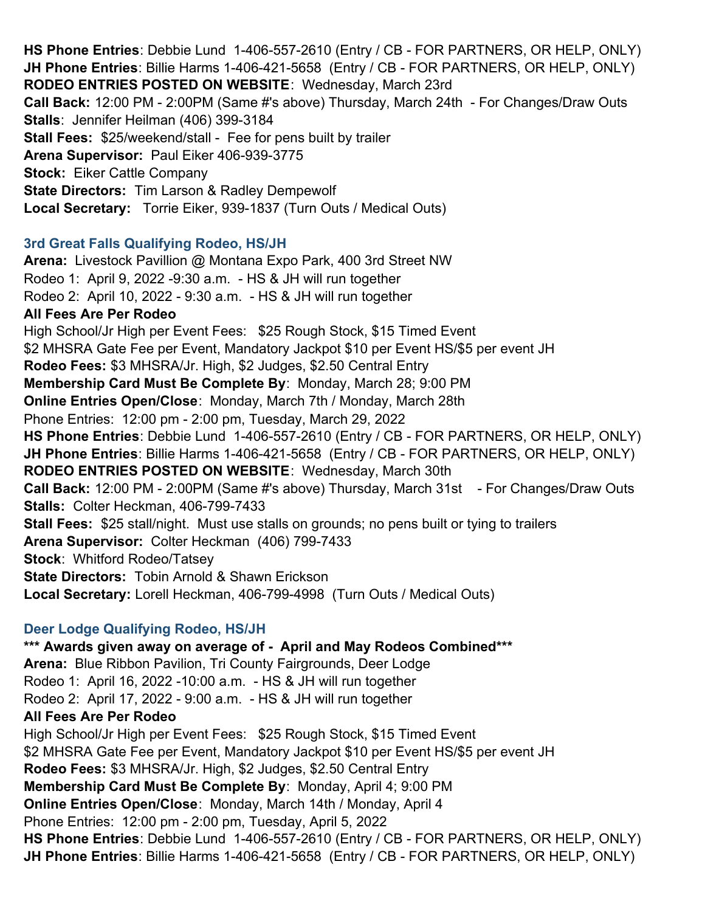**HS Phone Entries**: Debbie Lund 1-406-557-2610 (Entry / CB - FOR PARTNERS, OR HELP, ONLY) **JH Phone Entries**: Billie Harms 1-406-421-5658 (Entry / CB - FOR PARTNERS, OR HELP, ONLY) **RODEO ENTRIES POSTED ON WEBSITE**: Wednesday, March 23rd **Call Back:** 12:00 PM - 2:00PM (Same #'s above) Thursday, March 24th - For Changes/Draw Outs **Stalls**: Jennifer Heilman (406) 399-3184 **Stall Fees:** \$25/weekend/stall - Fee for pens built by trailer **Arena Supervisor:** Paul Eiker 406-939-3775 **Stock:** Eiker Cattle Company **State Directors:** Tim Larson & Radley Dempewolf **Local Secretary:** Torrie Eiker, 939-1837 (Turn Outs / Medical Outs)

### **3rd Great Falls Qualifying Rodeo, HS/JH**

**Arena:** Livestock Pavillion @ Montana Expo Park, 400 3rd Street NW Rodeo 1: April 9, 2022 -9:30 a.m. - HS & JH will run together Rodeo 2: April 10, 2022 - 9:30 a.m. - HS & JH will run together **All Fees Are Per Rodeo** High School/Jr High per Event Fees: \$25 Rough Stock, \$15 Timed Event \$2 MHSRA Gate Fee per Event, Mandatory Jackpot \$10 per Event HS/\$5 per event JH **Rodeo Fees:** \$3 MHSRA/Jr. High, \$2 Judges, \$2.50 Central Entry **Membership Card Must Be Complete By**: Monday, March 28; 9:00 PM **Online Entries Open/Close**: Monday, March 7th / Monday, March 28th Phone Entries: 12:00 pm - 2:00 pm, Tuesday, March 29, 2022 **HS Phone Entries**: Debbie Lund 1-406-557-2610 (Entry / CB - FOR PARTNERS, OR HELP, ONLY) **JH Phone Entries**: Billie Harms 1-406-421-5658 (Entry / CB - FOR PARTNERS, OR HELP, ONLY) **RODEO ENTRIES POSTED ON WEBSITE**: Wednesday, March 30th **Call Back:** 12:00 PM - 2:00PM (Same #'s above) Thursday, March 31st - For Changes/Draw Outs **Stalls:**  Colter Heckman, 406-799-7433 **Stall Fees:** \$25 stall/night. Must use stalls on grounds; no pens built or tying to trailers **Arena Supervisor:** Colter Heckman (406) 799-7433 **Stock**: Whitford Rodeo/Tatsey **State Directors:** Tobin Arnold & Shawn Erickson **Local Secretary:** Lorell Heckman, 406-799-4998 (Turn Outs / Medical Outs)

# **Deer Lodge Qualifying Rodeo, HS/JH**

**\*\*\* Awards given away on average of - April and May Rodeos Combined\*\*\* Arena:** Blue Ribbon Pavilion, Tri County Fairgrounds, Deer Lodge Rodeo 1: April 16, 2022 -10:00 a.m. - HS & JH will run together Rodeo 2: April 17, 2022 - 9:00 a.m. - HS & JH will run together **All Fees Are Per Rodeo** High School/Jr High per Event Fees: \$25 Rough Stock, \$15 Timed Event \$2 MHSRA Gate Fee per Event, Mandatory Jackpot \$10 per Event HS/\$5 per event JH **Rodeo Fees:** \$3 MHSRA/Jr. High, \$2 Judges, \$2.50 Central Entry **Membership Card Must Be Complete By**: Monday, April 4; 9:00 PM **Online Entries Open/Close**: Monday, March 14th / Monday, April 4 Phone Entries: 12:00 pm - 2:00 pm, Tuesday, April 5, 2022 **HS Phone Entries**: Debbie Lund 1-406-557-2610 (Entry / CB - FOR PARTNERS, OR HELP, ONLY) **JH Phone Entries**: Billie Harms 1-406-421-5658 (Entry / CB - FOR PARTNERS, OR HELP, ONLY)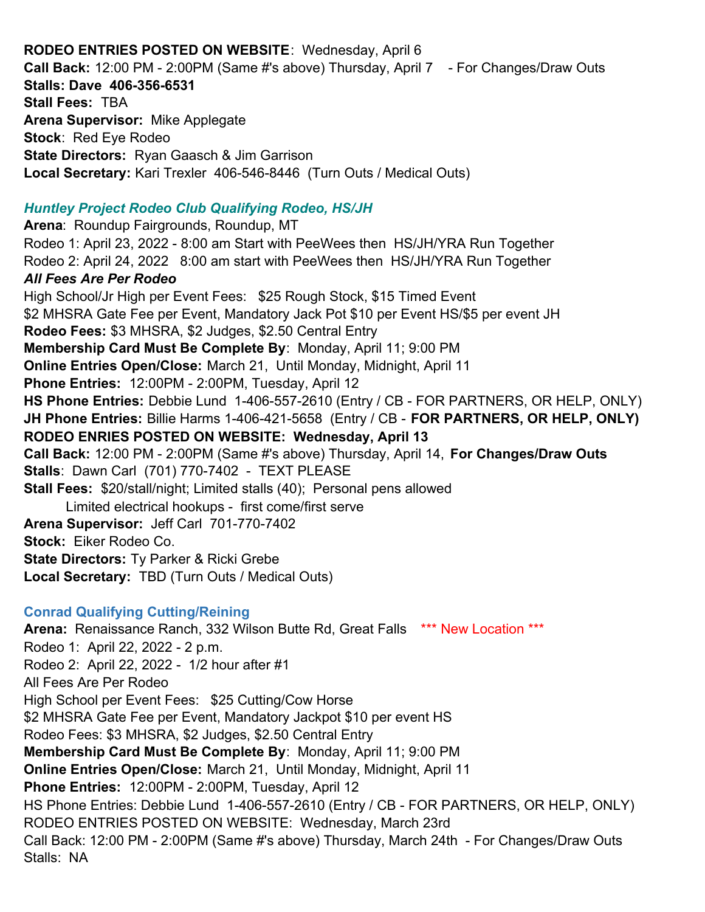# **RODEO ENTRIES POSTED ON WEBSITE**: Wednesday, April 6

**Call Back:** 12:00 PM - 2:00PM (Same #'s above) Thursday, April 7 - For Changes/Draw Outs **Stalls: Dave 406-356-6531 Stall Fees:** TBA **Arena Supervisor:** Mike Applegate **Stock**: Red Eye Rodeo **State Directors:** Ryan Gaasch & Jim Garrison **Local Secretary:** Kari Trexler 406-546-8446 (Turn Outs / Medical Outs) *Huntley Project Rodeo Club Qualifying Rodeo, HS/JH* **Arena**: Roundup Fairgrounds, Roundup, MT Rodeo 1: April 23, 2022 - 8:00 am Start with PeeWees then HS/JH/YRA Run Together Rodeo 2: April 24, 2022 8:00 am start with PeeWees then HS/JH/YRA Run Together *All Fees Are Per Rodeo* High School/Jr High per Event Fees: \$25 Rough Stock, \$15 Timed Event \$2 MHSRA Gate Fee per Event, Mandatory Jack Pot \$10 per Event HS/\$5 per event JH **Rodeo Fees:** \$3 MHSRA, \$2 Judges, \$2.50 Central Entry **Membership Card Must Be Complete By**: Monday, April 11; 9:00 PM **Online Entries Open/Close:** March 21, Until Monday, Midnight, April 11 **Phone Entries:** 12:00PM - 2:00PM, Tuesday, April 12 **HS Phone Entries:** Debbie Lund 1-406-557-2610 (Entry / CB - FOR PARTNERS, OR HELP, ONLY) **JH Phone Entries:** Billie Harms 1-406-421-5658 (Entry / CB - **FOR PARTNERS, OR HELP, ONLY) RODEO ENRIES POSTED ON WEBSITE: Wednesday, April 13 Call Back:** 12:00 PM - 2:00PM (Same #'s above) Thursday, April 14, **For Changes/Draw Outs Stalls**: Dawn Carl (701) 770-7402 - TEXT PLEASE **Stall Fees:** \$20/stall/night; Limited stalls (40); Personal pens allowed Limited electrical hookups - first come/first serve **Arena Supervisor:** Jeff Carl 701-770-7402 **Stock:** Eiker Rodeo Co. **State Directors:** Ty Parker & Ricki Grebe **Local Secretary:** TBD (Turn Outs / Medical Outs) **Conrad Qualifying Cutting/Reining Arena:** Renaissance Ranch, 332 Wilson Butte Rd, Great Falls \*\*\* New Location \*\*\* Rodeo 1: April 22, 2022 - 2 p.m. Rodeo 2: April 22, 2022 - 1/2 hour after #1 All Fees Are Per Rodeo High School per Event Fees: \$25 Cutting/Cow Horse \$2 MHSRA Gate Fee per Event, Mandatory Jackpot \$10 per event HS Rodeo Fees: \$3 MHSRA, \$2 Judges, \$2.50 Central Entry **Membership Card Must Be Complete By**: Monday, April 11; 9:00 PM **Online Entries Open/Close:** March 21, Until Monday, Midnight, April 11 **Phone Entries:** 12:00PM - 2:00PM, Tuesday, April 12

HS Phone Entries: Debbie Lund 1-406-557-2610 (Entry / CB - FOR PARTNERS, OR HELP, ONLY) RODEO ENTRIES POSTED ON WEBSITE: Wednesday, March 23rd Call Back: 12:00 PM - 2:00PM (Same #'s above) Thursday, March 24th - For Changes/Draw Outs Stalls: NA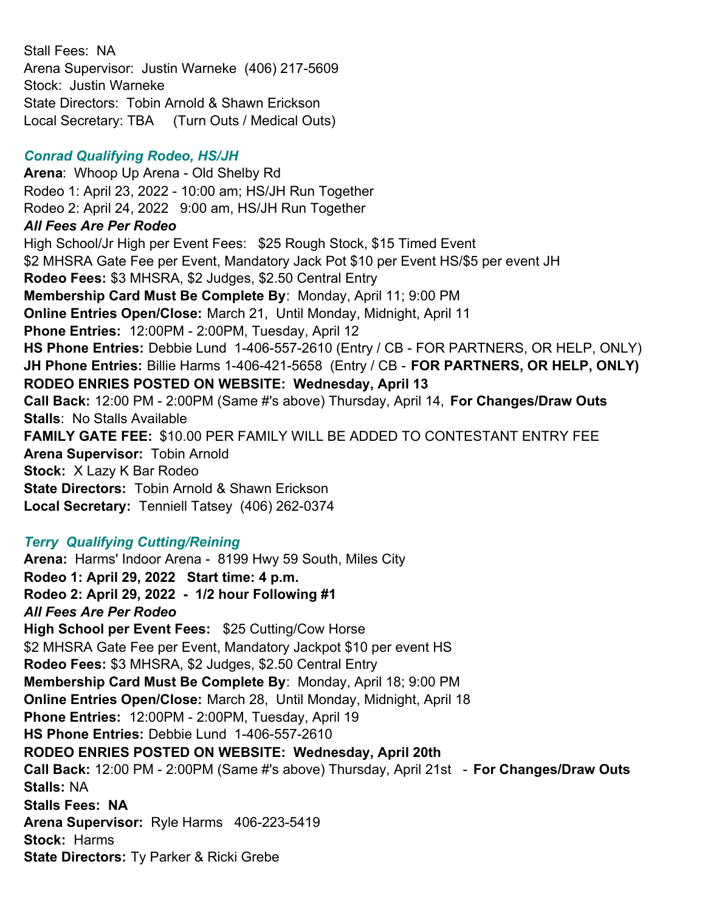Stall Fees: NA Arena Supervisor: Justin Warneke (406) 217-5609 Stock: Justin Warneke State Directors: Tobin Arnold & Shawn Erickson Local Secretary: TBA (Turn Outs / Medical Outs)

# *Conrad Qualifying Rodeo, HS/JH*

**Arena**: Whoop Up Arena - Old Shelby Rd Rodeo 1: April 23, 2022 - 10:00 am; HS/JH Run Together Rodeo 2: April 24, 2022 9:00 am, HS/JH Run Together *All Fees Are Per Rodeo* High School/Jr High per Event Fees: \$25 Rough Stock, \$15 Timed Event \$2 MHSRA Gate Fee per Event, Mandatory Jack Pot \$10 per Event HS/\$5 per event JH **Rodeo Fees:** \$3 MHSRA, \$2 Judges, \$2.50 Central Entry **Membership Card Must Be Complete By**: Monday, April 11; 9:00 PM **Online Entries Open/Close:** March 21, Until Monday, Midnight, April 11 **Phone Entries:** 12:00PM - 2:00PM, Tuesday, April 12 **HS Phone Entries:** Debbie Lund 1-406-557-2610 (Entry / CB - FOR PARTNERS, OR HELP, ONLY) **JH Phone Entries:** Billie Harms 1-406-421-5658 (Entry / CB - **FOR PARTNERS, OR HELP, ONLY) RODEO ENRIES POSTED ON WEBSITE: Wednesday, April 13 Call Back:** 12:00 PM - 2:00PM (Same #'s above) Thursday, April 14, **For Changes/Draw Outs Stalls**: No Stalls Available **FAMILY GATE FEE:** \$10.00 PER FAMILY WILL BE ADDED TO CONTESTANT ENTRY FEE **Arena Supervisor:** Tobin Arnold **Stock:** X Lazy K Bar Rodeo **State Directors:** Tobin Arnold & Shawn Erickson **Local Secretary:** Tenniell Tatsey (406) 262-0374

# *Terry Qualifying Cutting/Reining*

**Arena:** Harms' Indoor Arena - 8199 Hwy 59 South, Miles City **Rodeo 1: April 29, 2022 Start time: 4 p.m. Rodeo 2: April 29, 2022 - 1/2 hour Following #1** *All Fees Are Per Rodeo* **High School per Event Fees:** \$25 Cutting/Cow Horse \$2 MHSRA Gate Fee per Event, Mandatory Jackpot \$10 per event HS **Rodeo Fees:** \$3 MHSRA, \$2 Judges, \$2.50 Central Entry **Membership Card Must Be Complete By**: Monday, April 18; 9:00 PM **Online Entries Open/Close:** March 28, Until Monday, Midnight, April 18 **Phone Entries:** 12:00PM - 2:00PM, Tuesday, April 19 **HS Phone Entries:** Debbie Lund 1-406-557-2610 **RODEO ENRIES POSTED ON WEBSITE: Wednesday, April 20th Call Back:** 12:00 PM - 2:00PM (Same #'s above) Thursday, April 21st - **For Changes/Draw Outs Stalls:** NA **Stalls Fees: NA Arena Supervisor:** Ryle Harms 406-223-5419 **Stock:** Harms **State Directors:** Ty Parker & Ricki Grebe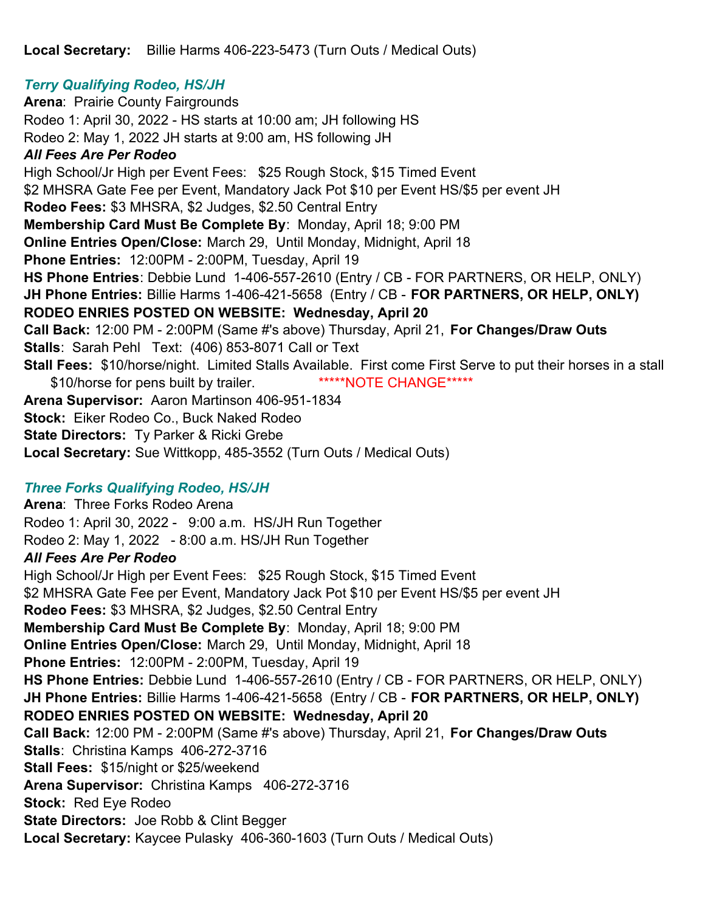**Local Secretary:** Billie Harms 406-223-5473 (Turn Outs / Medical Outs)

# *Terry Qualifying Rodeo, HS/JH*

**Arena: Prairie County Fairgrounds** Rodeo 1: April 30, 2022 - HS starts at 10:00 am; JH following HS Rodeo 2: May 1, 2022 JH starts at 9:00 am, HS following JH *All Fees Are Per Rodeo* High School/Jr High per Event Fees: \$25 Rough Stock, \$15 Timed Event \$2 MHSRA Gate Fee per Event, Mandatory Jack Pot \$10 per Event HS/\$5 per event JH **Rodeo Fees:** \$3 MHSRA, \$2 Judges, \$2.50 Central Entry **Membership Card Must Be Complete By**: Monday, April 18; 9:00 PM **Online Entries Open/Close:** March 29, Until Monday, Midnight, April 18 **Phone Entries:** 12:00PM - 2:00PM, Tuesday, April 19 **HS Phone Entries**: Debbie Lund 1-406-557-2610 (Entry / CB - FOR PARTNERS, OR HELP, ONLY) **JH Phone Entries:** Billie Harms 1-406-421-5658 (Entry / CB - **FOR PARTNERS, OR HELP, ONLY) RODEO ENRIES POSTED ON WEBSITE: Wednesday, April 20 Call Back:** 12:00 PM - 2:00PM (Same #'s above) Thursday, April 21, **For Changes/Draw Outs Stalls**: Sarah Pehl Text: (406) 853-8071 Call or Text **Stall Fees:** \$10/horse/night. Limited Stalls Available. First come First Serve to put their horses in a stall \$10/horse for pens built by trailer. \*\*\*\*\*NOTE CHANGE\*\*\*\*\* **Arena Supervisor:** Aaron Martinson 406-951-1834 **Stock:** Eiker Rodeo Co., Buck Naked Rodeo **State Directors:** Ty Parker & Ricki Grebe **Local Secretary:** Sue Wittkopp, 485-3552 (Turn Outs / Medical Outs)

# *Three Forks Qualifying Rodeo, HS/JH*

**Arena**: Three Forks Rodeo Arena Rodeo 1: April 30, 2022 - 9:00 a.m. HS/JH Run Together Rodeo 2: May 1, 2022 - 8:00 a.m. HS/JH Run Together *All Fees Are Per Rodeo*

High School/Jr High per Event Fees: \$25 Rough Stock, \$15 Timed Event \$2 MHSRA Gate Fee per Event, Mandatory Jack Pot \$10 per Event HS/\$5 per event JH **Rodeo Fees:** \$3 MHSRA, \$2 Judges, \$2.50 Central Entry **Membership Card Must Be Complete By**: Monday, April 18; 9:00 PM **Online Entries Open/Close:** March 29, Until Monday, Midnight, April 18 **Phone Entries:** 12:00PM - 2:00PM, Tuesday, April 19 **HS Phone Entries:** Debbie Lund 1-406-557-2610 (Entry / CB - FOR PARTNERS, OR HELP, ONLY) **JH Phone Entries:** Billie Harms 1-406-421-5658 (Entry / CB - **FOR PARTNERS, OR HELP, ONLY) RODEO ENRIES POSTED ON WEBSITE: Wednesday, April 20 Call Back:** 12:00 PM - 2:00PM (Same #'s above) Thursday, April 21, **For Changes/Draw Outs Stalls**: Christina Kamps 406-272-3716 **Stall Fees:** \$15/night or \$25/weekend **Arena Supervisor:** Christina Kamps 406-272-3716 **Stock:** Red Eye Rodeo **State Directors:** Joe Robb & Clint Begger **Local Secretary:** Kaycee Pulasky 406-360-1603 (Turn Outs / Medical Outs)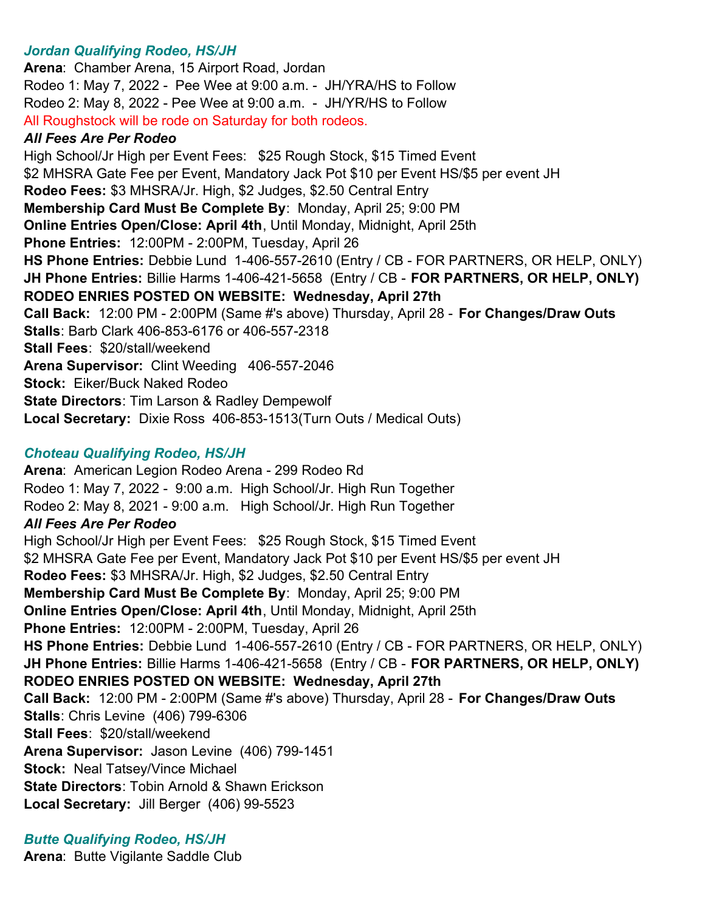### *Jordan Qualifying Rodeo, HS/JH*

**Arena**: Chamber Arena, 15 Airport Road, Jordan Rodeo 1: May 7, 2022 - Pee Wee at 9:00 a.m. - JH/YRA/HS to Follow Rodeo 2: May 8, 2022 - Pee Wee at 9:00 a.m. - JH/YR/HS to Follow All Roughstock will be rode on Saturday for both rodeos. *All Fees Are Per Rodeo* High School/Jr High per Event Fees: \$25 Rough Stock, \$15 Timed Event \$2 MHSRA Gate Fee per Event, Mandatory Jack Pot \$10 per Event HS/\$5 per event JH **Rodeo Fees:** \$3 MHSRA/Jr. High, \$2 Judges, \$2.50 Central Entry **Membership Card Must Be Complete By**: Monday, April 25; 9:00 PM **Online Entries Open/Close: April 4th**, Until Monday, Midnight, April 25th **Phone Entries:** 12:00PM - 2:00PM, Tuesday, April 26 **HS Phone Entries:** Debbie Lund 1-406-557-2610 (Entry / CB - FOR PARTNERS, OR HELP, ONLY) **JH Phone Entries:** Billie Harms 1-406-421-5658 (Entry / CB - **FOR PARTNERS, OR HELP, ONLY) RODEO ENRIES POSTED ON WEBSITE: Wednesday, April 27th Call Back:** 12:00 PM - 2:00PM (Same #'s above) Thursday, April 28 - **For Changes/Draw Outs Stalls**: Barb Clark 406-853-6176 or 406-557-2318 **Stall Fees**: \$20/stall/weekend **Arena Supervisor:** Clint Weeding 406-557-2046 **Stock:** Eiker/Buck Naked Rodeo **State Directors**: Tim Larson & Radley Dempewolf **Local Secretary:** Dixie Ross 406-853-1513(Turn Outs / Medical Outs)

### *Choteau Qualifying Rodeo, HS/JH*

**Arena**: American Legion Rodeo Arena - 299 Rodeo Rd Rodeo 1: May 7, 2022 - 9:00 a.m. High School/Jr. High Run Together Rodeo 2: May 8, 2021 - 9:00 a.m. High School/Jr. High Run Together *All Fees Are Per Rodeo* High School/Jr High per Event Fees: \$25 Rough Stock, \$15 Timed Event \$2 MHSRA Gate Fee per Event, Mandatory Jack Pot \$10 per Event HS/\$5 per event JH **Rodeo Fees:** \$3 MHSRA/Jr. High, \$2 Judges, \$2.50 Central Entry **Membership Card Must Be Complete By**: Monday, April 25; 9:00 PM **Online Entries Open/Close: April 4th**, Until Monday, Midnight, April 25th **Phone Entries:** 12:00PM - 2:00PM, Tuesday, April 26 **HS Phone Entries:** Debbie Lund 1-406-557-2610 (Entry / CB - FOR PARTNERS, OR HELP, ONLY) **JH Phone Entries:** Billie Harms 1-406-421-5658 (Entry / CB - **FOR PARTNERS, OR HELP, ONLY) RODEO ENRIES POSTED ON WEBSITE: Wednesday, April 27th Call Back:** 12:00 PM - 2:00PM (Same #'s above) Thursday, April 28 - **For Changes/Draw Outs Stalls**: Chris Levine (406) 799-6306 **Stall Fees**: \$20/stall/weekend **Arena Supervisor:** Jason Levine (406) 799-1451 **Stock:** Neal Tatsey/Vince Michael **State Directors**: Tobin Arnold & Shawn Erickson **Local Secretary:** Jill Berger (406) 99-5523

*Butte Qualifying Rodeo, HS/JH* **Arena**: Butte Vigilante Saddle Club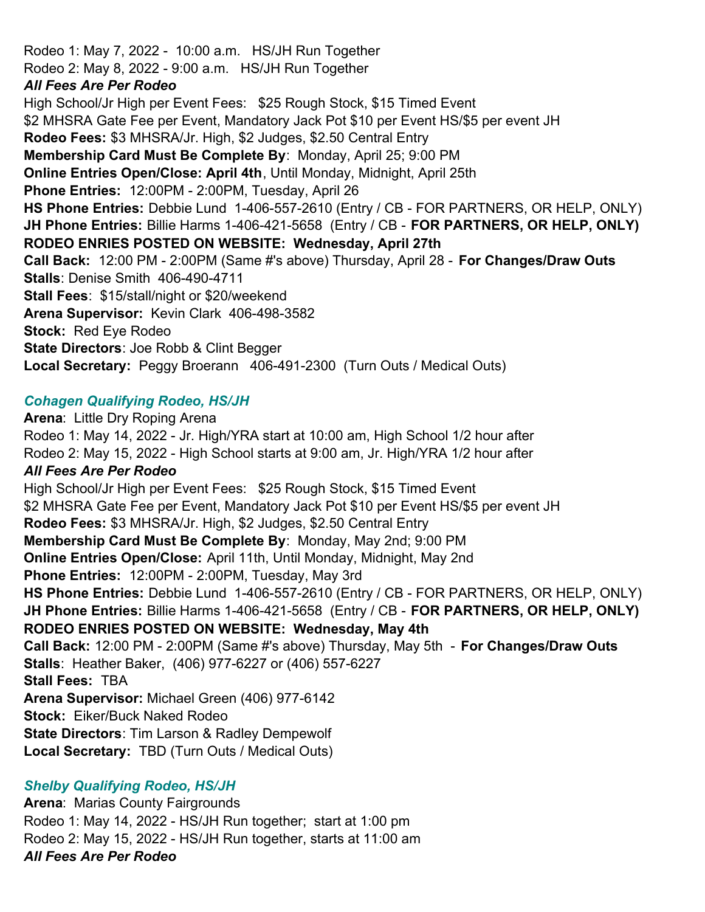Rodeo 1: May 7, 2022 - 10:00 a.m. HS/JH Run Together Rodeo 2: May 8, 2022 - 9:00 a.m. HS/JH Run Together *All Fees Are Per Rodeo* High School/Jr High per Event Fees: \$25 Rough Stock, \$15 Timed Event \$2 MHSRA Gate Fee per Event, Mandatory Jack Pot \$10 per Event HS/\$5 per event JH **Rodeo Fees:** \$3 MHSRA/Jr. High, \$2 Judges, \$2.50 Central Entry **Membership Card Must Be Complete By**: Monday, April 25; 9:00 PM **Online Entries Open/Close: April 4th**, Until Monday, Midnight, April 25th **Phone Entries:** 12:00PM - 2:00PM, Tuesday, April 26 **HS Phone Entries:** Debbie Lund 1-406-557-2610 (Entry / CB - FOR PARTNERS, OR HELP, ONLY) **JH Phone Entries:** Billie Harms 1-406-421-5658 (Entry / CB - **FOR PARTNERS, OR HELP, ONLY) RODEO ENRIES POSTED ON WEBSITE: Wednesday, April 27th Call Back:** 12:00 PM - 2:00PM (Same #'s above) Thursday, April 28 - **For Changes/Draw Outs Stalls**: Denise Smith 406-490-4711 **Stall Fees**: \$15/stall/night or \$20/weekend **Arena Supervisor:** Kevin Clark 406-498-3582 **Stock:** Red Eye Rodeo **State Directors**: Joe Robb & Clint Begger **Local Secretary:** Peggy Broerann 406-491-2300 (Turn Outs / Medical Outs)

#### *Cohagen Qualifying Rodeo, HS/JH*

**Arena**: Little Dry Roping Arena Rodeo 1: May 14, 2022 - Jr. High/YRA start at 10:00 am, High School 1/2 hour after Rodeo 2: May 15, 2022 - High School starts at 9:00 am, Jr. High/YRA 1/2 hour after *All Fees Are Per Rodeo* High School/Jr High per Event Fees: \$25 Rough Stock, \$15 Timed Event \$2 MHSRA Gate Fee per Event, Mandatory Jack Pot \$10 per Event HS/\$5 per event JH **Rodeo Fees:** \$3 MHSRA/Jr. High, \$2 Judges, \$2.50 Central Entry **Membership Card Must Be Complete By**: Monday, May 2nd; 9:00 PM **Online Entries Open/Close:** April 11th, Until Monday, Midnight, May 2nd **Phone Entries:** 12:00PM - 2:00PM, Tuesday, May 3rd **HS Phone Entries:** Debbie Lund 1-406-557-2610 (Entry / CB - FOR PARTNERS, OR HELP, ONLY) **JH Phone Entries:** Billie Harms 1-406-421-5658 (Entry / CB - **FOR PARTNERS, OR HELP, ONLY) RODEO ENRIES POSTED ON WEBSITE: Wednesday, May 4th Call Back:** 12:00 PM - 2:00PM (Same #'s above) Thursday, May 5th - **For Changes/Draw Outs Stalls**: Heather Baker, (406) 977-6227 or (406) 557-6227 **Stall Fees:** TBA **Arena Supervisor:** Michael Green (406) 977-6142 **Stock:** Eiker/Buck Naked Rodeo **State Directors**: Tim Larson & Radley Dempewolf **Local Secretary:** TBD (Turn Outs / Medical Outs)

#### *Shelby Qualifying Rodeo, HS/JH*

**Arena**: Marias County Fairgrounds Rodeo 1: May 14, 2022 - HS/JH Run together; start at 1:00 pm Rodeo 2: May 15, 2022 - HS/JH Run together, starts at 11:00 am *All Fees Are Per Rodeo*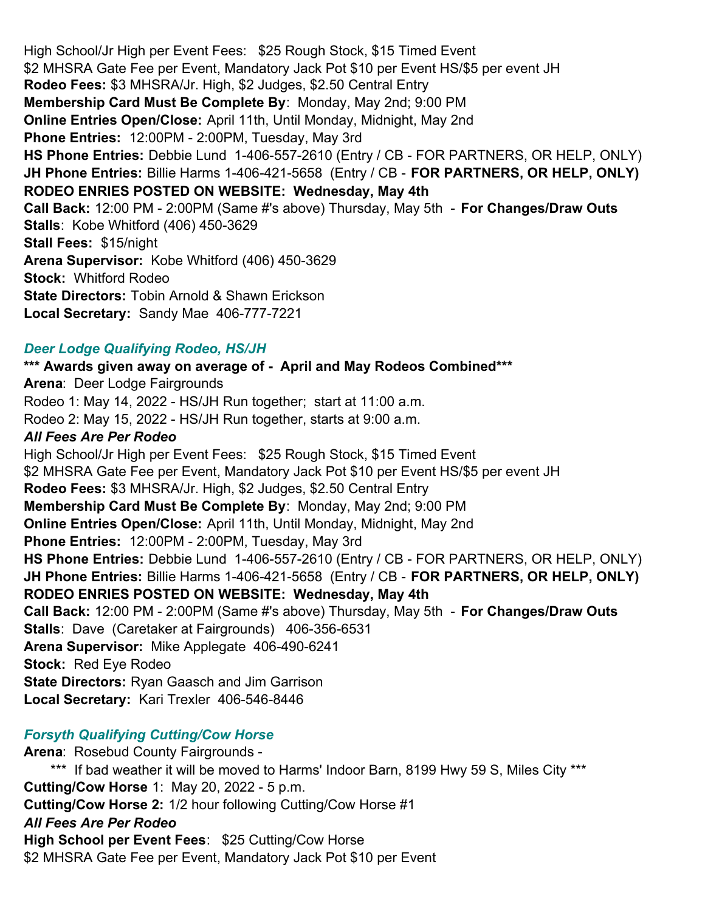High School/Jr High per Event Fees: \$25 Rough Stock, \$15 Timed Event \$2 MHSRA Gate Fee per Event, Mandatory Jack Pot \$10 per Event HS/\$5 per event JH **Rodeo Fees:** \$3 MHSRA/Jr. High, \$2 Judges, \$2.50 Central Entry **Membership Card Must Be Complete By**: Monday, May 2nd; 9:00 PM **Online Entries Open/Close:** April 11th, Until Monday, Midnight, May 2nd **Phone Entries:** 12:00PM - 2:00PM, Tuesday, May 3rd **HS Phone Entries:** Debbie Lund 1-406-557-2610 (Entry / CB - FOR PARTNERS, OR HELP, ONLY) **JH Phone Entries:** Billie Harms 1-406-421-5658 (Entry / CB - **FOR PARTNERS, OR HELP, ONLY) RODEO ENRIES POSTED ON WEBSITE: Wednesday, May 4th Call Back:** 12:00 PM - 2:00PM (Same #'s above) Thursday, May 5th - **For Changes/Draw Outs Stalls**: Kobe Whitford (406) 450-3629 **Stall Fees: \$15/night Arena Supervisor:** Kobe Whitford (406) 450-3629 **Stock:** Whitford Rodeo **State Directors:** Tobin Arnold & Shawn Erickson **Local Secretary:** Sandy Mae 406-777-7221

#### *Deer Lodge Qualifying Rodeo, HS/JH*

**\*\*\* Awards given away on average of - April and May Rodeos Combined\*\*\* Arena**: Deer Lodge Fairgrounds Rodeo 1: May 14, 2022 - HS/JH Run together; start at 11:00 a.m. Rodeo 2: May 15, 2022 - HS/JH Run together, starts at 9:00 a.m. *All Fees Are Per Rodeo* High School/Jr High per Event Fees: \$25 Rough Stock, \$15 Timed Event \$2 MHSRA Gate Fee per Event, Mandatory Jack Pot \$10 per Event HS/\$5 per event JH **Rodeo Fees:** \$3 MHSRA/Jr. High, \$2 Judges, \$2.50 Central Entry **Membership Card Must Be Complete By**: Monday, May 2nd; 9:00 PM **Online Entries Open/Close:** April 11th, Until Monday, Midnight, May 2nd **Phone Entries:** 12:00PM - 2:00PM, Tuesday, May 3rd **HS Phone Entries:** Debbie Lund 1-406-557-2610 (Entry / CB - FOR PARTNERS, OR HELP, ONLY) **JH Phone Entries:** Billie Harms 1-406-421-5658 (Entry / CB - **FOR PARTNERS, OR HELP, ONLY) RODEO ENRIES POSTED ON WEBSITE: Wednesday, May 4th Call Back:** 12:00 PM - 2:00PM (Same #'s above) Thursday, May 5th - **For Changes/Draw Outs Stalls**: Dave (Caretaker at Fairgrounds) 406-356-6531 **Arena Supervisor:** Mike Applegate 406-490-6241 **Stock:** Red Eye Rodeo **State Directors:** Ryan Gaasch and Jim Garrison **Local Secretary:** Kari Trexler 406-546-8446

# *Forsyth Qualifying Cutting/Cow Horse*

**Arena**: Rosebud County Fairgrounds - \*\*\* If bad weather it will be moved to Harms' Indoor Barn, 8199 Hwy 59 S, Miles City \*\*\* **Cutting/Cow Horse** 1: May 20, 2022 - 5 p.m. **Cutting/Cow Horse 2:** 1/2 hour following Cutting/Cow Horse #1 *All Fees Are Per Rodeo* **High School per Event Fees**: \$25 Cutting/Cow Horse \$2 MHSRA Gate Fee per Event, Mandatory Jack Pot \$10 per Event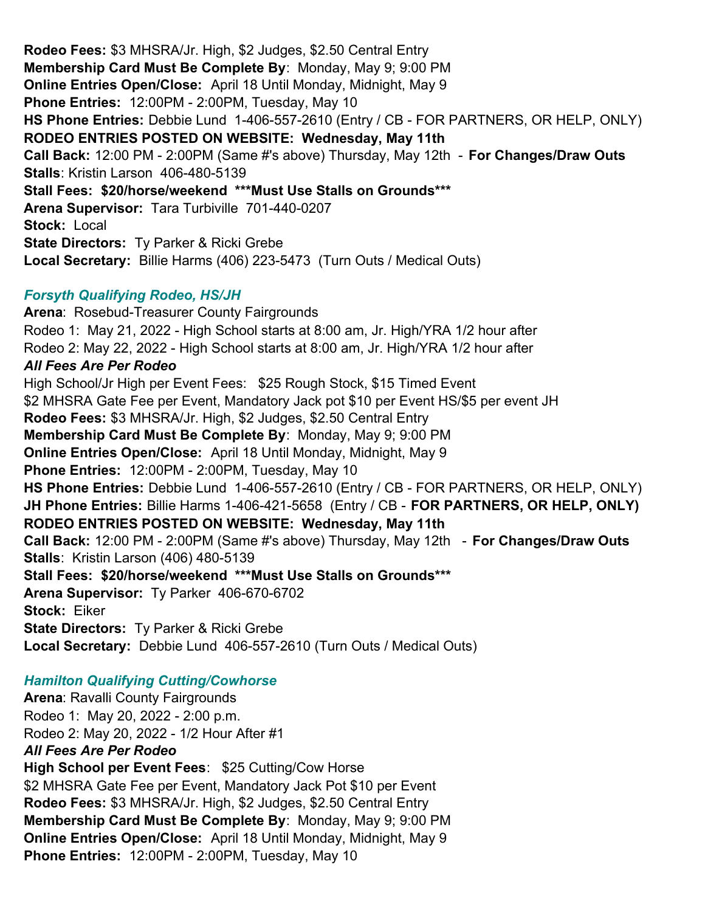**Rodeo Fees:** \$3 MHSRA/Jr. High, \$2 Judges, \$2.50 Central Entry **Membership Card Must Be Complete By**: Monday, May 9; 9:00 PM **Online Entries Open/Close:** April 18 Until Monday, Midnight, May 9 **Phone Entries:** 12:00PM - 2:00PM, Tuesday, May 10 **HS Phone Entries:** Debbie Lund 1-406-557-2610 (Entry / CB - FOR PARTNERS, OR HELP, ONLY) **RODEO ENTRIES POSTED ON WEBSITE: Wednesday, May 11th Call Back:** 12:00 PM - 2:00PM (Same #'s above) Thursday, May 12th - **For Changes/Draw Outs Stalls**: Kristin Larson 406-480-5139 **Stall Fees: \$20/horse/weekend \*\*\*Must Use Stalls on Grounds\*\*\* Arena Supervisor:** Tara Turbiville 701-440-0207 **Stock:** Local **State Directors: Ty Parker & Ricki Grebe Local Secretary:**  Billie Harms (406) 223-5473 (Turn Outs / Medical Outs)

# *Forsyth Qualifying Rodeo, HS/JH*

**Arena**: Rosebud-Treasurer County Fairgrounds Rodeo 1: May 21, 2022 - High School starts at 8:00 am, Jr. High/YRA 1/2 hour after Rodeo 2: May 22, 2022 - High School starts at 8:00 am, Jr. High/YRA 1/2 hour after *All Fees Are Per Rodeo* High School/Jr High per Event Fees: \$25 Rough Stock, \$15 Timed Event \$2 MHSRA Gate Fee per Event, Mandatory Jack pot \$10 per Event HS/\$5 per event JH **Rodeo Fees:** \$3 MHSRA/Jr. High, \$2 Judges, \$2.50 Central Entry **Membership Card Must Be Complete By**: Monday, May 9; 9:00 PM **Online Entries Open/Close:** April 18 Until Monday, Midnight, May 9 **Phone Entries:** 12:00PM - 2:00PM, Tuesday, May 10 **HS Phone Entries:** Debbie Lund 1-406-557-2610 (Entry / CB - FOR PARTNERS, OR HELP, ONLY) **JH Phone Entries:** Billie Harms 1-406-421-5658 (Entry / CB - **FOR PARTNERS, OR HELP, ONLY) RODEO ENTRIES POSTED ON WEBSITE: Wednesday, May 11th Call Back:** 12:00 PM - 2:00PM (Same #'s above) Thursday, May 12th - **For Changes/Draw Outs Stalls**: Kristin Larson (406) 480-5139 **Stall Fees: \$20/horse/weekend \*\*\*Must Use Stalls on Grounds\*\*\* Arena Supervisor:** Ty Parker 406-670-6702 **Stock:** Eiker **State Directors:** Ty Parker & Ricki Grebe **Local Secretary:**  Debbie Lund 406-557-2610 (Turn Outs / Medical Outs)

# *Hamilton Qualifying Cutting/Cowhorse*

**Arena**: Ravalli County Fairgrounds Rodeo 1: May 20, 2022 - 2:00 p.m. Rodeo 2: May 20, 2022 - 1/2 Hour After #1 *All Fees Are Per Rodeo* **High School per Event Fees**: \$25 Cutting/Cow Horse \$2 MHSRA Gate Fee per Event, Mandatory Jack Pot \$10 per Event **Rodeo Fees:** \$3 MHSRA/Jr. High, \$2 Judges, \$2.50 Central Entry **Membership Card Must Be Complete By**: Monday, May 9; 9:00 PM **Online Entries Open/Close:** April 18 Until Monday, Midnight, May 9 **Phone Entries:** 12:00PM - 2:00PM, Tuesday, May 10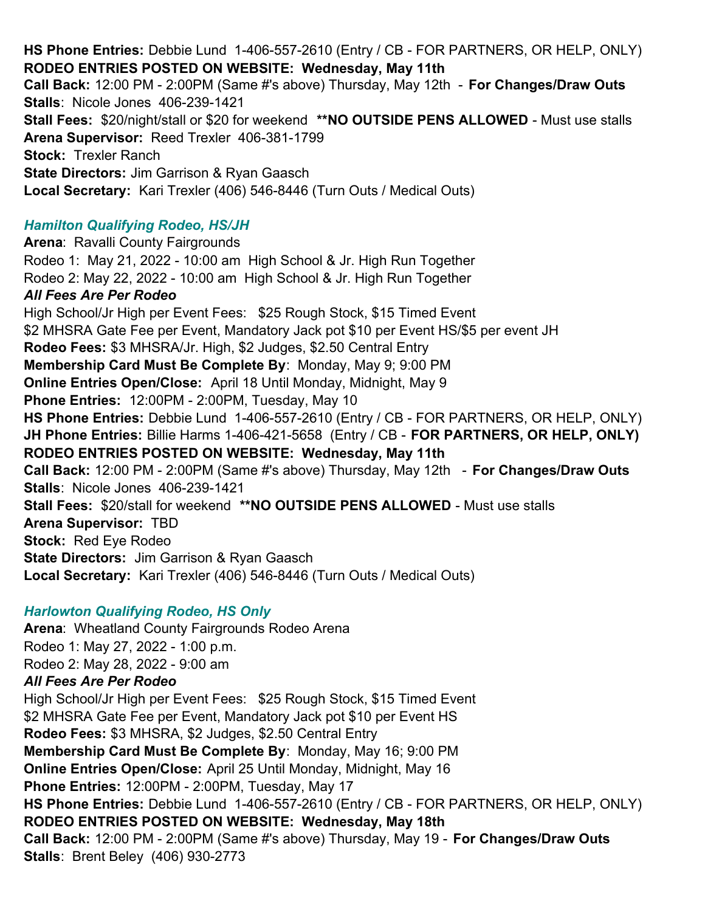**HS Phone Entries:** Debbie Lund 1-406-557-2610 (Entry / CB - FOR PARTNERS, OR HELP, ONLY) **RODEO ENTRIES POSTED ON WEBSITE: Wednesday, May 11th Call Back:** 12:00 PM - 2:00PM (Same #'s above) Thursday, May 12th - **For Changes/Draw Outs Stalls**: Nicole Jones 406-239-1421 **Stall Fees:**  \$20/night/stall or \$20 for weekend **\*\*NO OUTSIDE PENS ALLOWED** - Must use stalls **Arena Supervisor:** Reed Trexler 406-381-1799 **Stock: Trexler Ranch State Directors:** Jim Garrison & Ryan Gaasch **Local Secretary:**  Kari Trexler (406) 546-8446 (Turn Outs / Medical Outs) *Hamilton Qualifying Rodeo, HS/JH* **Arena**: Ravalli County Fairgrounds Rodeo 1: May 21, 2022 - 10:00 am High School & Jr. High Run Together Rodeo 2: May 22, 2022 - 10:00 am High School & Jr. High Run Together *All Fees Are Per Rodeo* High School/Jr High per Event Fees: \$25 Rough Stock, \$15 Timed Event \$2 MHSRA Gate Fee per Event, Mandatory Jack pot \$10 per Event HS/\$5 per event JH **Rodeo Fees:** \$3 MHSRA/Jr. High, \$2 Judges, \$2.50 Central Entry **Membership Card Must Be Complete By**: Monday, May 9; 9:00 PM **Online Entries Open/Close:** April 18 Until Monday, Midnight, May 9 **Phone Entries:** 12:00PM - 2:00PM, Tuesday, May 10 **HS Phone Entries:** Debbie Lund 1-406-557-2610 (Entry / CB - FOR PARTNERS, OR HELP, ONLY) **JH Phone Entries:** Billie Harms 1-406-421-5658 (Entry / CB - **FOR PARTNERS, OR HELP, ONLY) RODEO ENTRIES POSTED ON WEBSITE: Wednesday, May 11th Call Back:** 12:00 PM - 2:00PM (Same #'s above) Thursday, May 12th - **For Changes/Draw Outs Stalls**: Nicole Jones 406-239-1421 **Stall Fees:** \$20/stall for weekend **\*\*NO OUTSIDE PENS ALLOWED** - Must use stalls **Arena Supervisor:** TBD **Stock:** Red Eye Rodeo **State Directors: Jim Garrison & Ryan Gaasch Local Secretary:**  Kari Trexler (406) 546-8446 (Turn Outs / Medical Outs)

#### *Harlowton Qualifying Rodeo, HS Only*

**Arena**: Wheatland County Fairgrounds Rodeo Arena Rodeo 1: May 27, 2022 - 1:00 p.m. Rodeo 2: May 28, 2022 - 9:00 am *All Fees Are Per Rodeo* High School/Jr High per Event Fees: \$25 Rough Stock, \$15 Timed Event \$2 MHSRA Gate Fee per Event, Mandatory Jack pot \$10 per Event HS **Rodeo Fees:** \$3 MHSRA, \$2 Judges, \$2.50 Central Entry **Membership Card Must Be Complete By**: Monday, May 16; 9:00 PM **Online Entries Open/Close:** April 25 Until Monday, Midnight, May 16 **Phone Entries:** 12:00PM - 2:00PM, Tuesday, May 17 **HS Phone Entries:** Debbie Lund 1-406-557-2610 (Entry / CB - FOR PARTNERS, OR HELP, ONLY) **RODEO ENTRIES POSTED ON WEBSITE: Wednesday, May 18th Call Back:** 12:00 PM - 2:00PM (Same #'s above) Thursday, May 19 - **For Changes/Draw Outs Stalls**: Brent Beley (406) 930-2773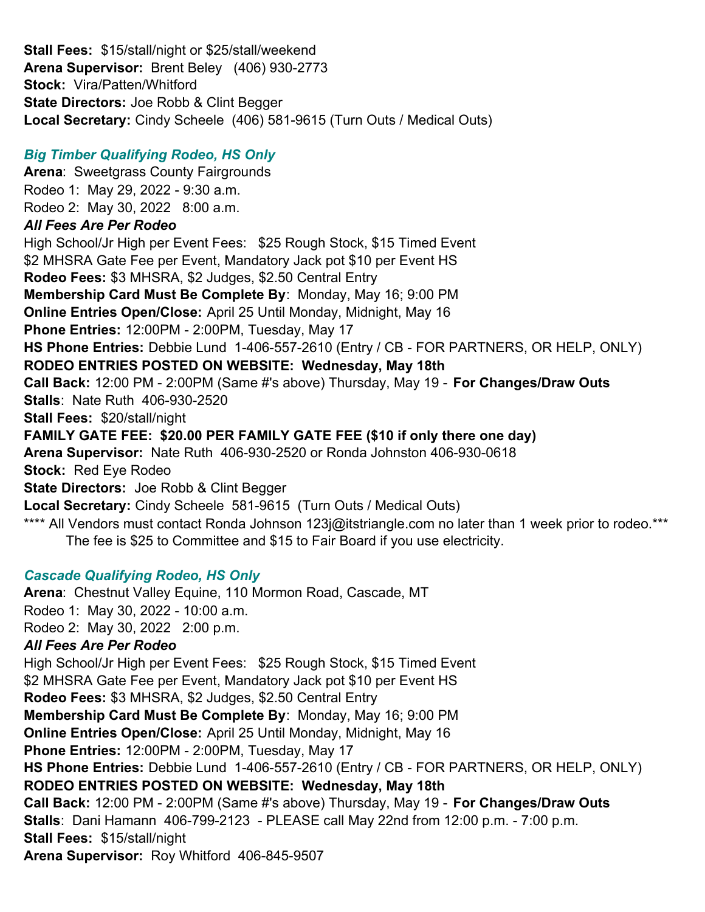**Stall Fees:** \$15/stall/night or \$25/stall/weekend **Arena Supervisor:** Brent Beley (406) 930-2773 **Stock:** Vira/Patten/Whitford **State Directors:** Joe Robb & Clint Begger **Local Secretary:** Cindy Scheele (406) 581-9615 (Turn Outs / Medical Outs)

# *Big Timber Qualifying Rodeo, HS Only*

**Arena**: Sweetgrass County Fairgrounds Rodeo 1: May 29, 2022 - 9:30 a.m. Rodeo 2: May 30, 2022 8:00 a.m. *All Fees Are Per Rodeo* High School/Jr High per Event Fees: \$25 Rough Stock, \$15 Timed Event \$2 MHSRA Gate Fee per Event, Mandatory Jack pot \$10 per Event HS **Rodeo Fees:** \$3 MHSRA, \$2 Judges, \$2.50 Central Entry **Membership Card Must Be Complete By**: Monday, May 16; 9:00 PM **Online Entries Open/Close:** April 25 Until Monday, Midnight, May 16 **Phone Entries:** 12:00PM - 2:00PM, Tuesday, May 17 **HS Phone Entries:** Debbie Lund 1-406-557-2610 (Entry / CB - FOR PARTNERS, OR HELP, ONLY) **RODEO ENTRIES POSTED ON WEBSITE: Wednesday, May 18th Call Back:** 12:00 PM - 2:00PM (Same #'s above) Thursday, May 19 - **For Changes/Draw Outs Stalls**: Nate Ruth 406-930-2520 **Stall Fees:** \$20/stall/night **FAMILY GATE FEE: \$20.00 PER FAMILY GATE FEE (\$10 if only there one day) Arena Supervisor:** Nate Ruth 406-930-2520 or Ronda Johnston 406-930-0618 **Stock:** Red Eye Rodeo **State Directors:** Joe Robb & Clint Begger **Local Secretary:** Cindy Scheele 581-9615 (Turn Outs / Medical Outs) \*\*\*\* All Vendors must contact Ronda Johnson 123 $[@$ itstriangle.com no later than 1 week prior to rodeo.\*\*\* The fee is \$25 to Committee and \$15 to Fair Board if you use electricity.

# *Cascade Qualifying Rodeo, HS Only*

**Arena**: Chestnut Valley Equine, 110 Mormon Road, Cascade, MT Rodeo 1: May 30, 2022 - 10:00 a.m. Rodeo 2: May 30, 2022 2:00 p.m. *All Fees Are Per Rodeo* High School/Jr High per Event Fees: \$25 Rough Stock, \$15 Timed Event \$2 MHSRA Gate Fee per Event, Mandatory Jack pot \$10 per Event HS **Rodeo Fees:** \$3 MHSRA, \$2 Judges, \$2.50 Central Entry **Membership Card Must Be Complete By**: Monday, May 16; 9:00 PM **Online Entries Open/Close:** April 25 Until Monday, Midnight, May 16 **Phone Entries:** 12:00PM - 2:00PM, Tuesday, May 17 **HS Phone Entries:** Debbie Lund 1-406-557-2610 (Entry / CB - FOR PARTNERS, OR HELP, ONLY) **RODEO ENTRIES POSTED ON WEBSITE: Wednesday, May 18th Call Back:** 12:00 PM - 2:00PM (Same #'s above) Thursday, May 19 - **For Changes/Draw Outs Stalls**: Dani Hamann 406-799-2123 - PLEASE call May 22nd from 12:00 p.m. - 7:00 p.m. **Stall Fees:** \$15/stall/night **Arena Supervisor:** Roy Whitford 406-845-9507